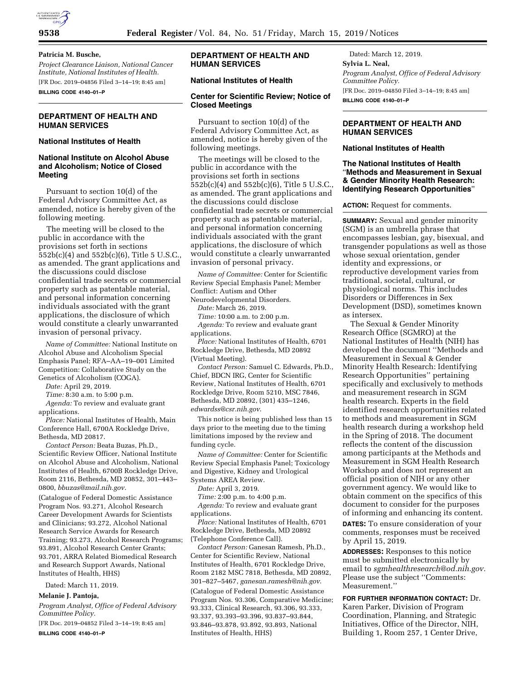

## **Patricia M. Busche,**

*Project Clearance Liaison, National Cancer Institute, National Institutes of Health.*  [FR Doc. 2019–04856 Filed 3–14–19; 8:45 am] **BILLING CODE 4140–01–P** 

**DEPARTMENT OF HEALTH AND HUMAN SERVICES** 

# **National Institutes of Health**

# **National Institute on Alcohol Abuse and Alcoholism; Notice of Closed Meeting**

Pursuant to section 10(d) of the Federal Advisory Committee Act, as amended, notice is hereby given of the following meeting.

The meeting will be closed to the public in accordance with the provisions set forth in sections 552b(c)(4) and 552b(c)(6), Title 5 U.S.C., as amended. The grant applications and the discussions could disclose confidential trade secrets or commercial property such as patentable material, and personal information concerning individuals associated with the grant applications, the disclosure of which would constitute a clearly unwarranted invasion of personal privacy.

*Name of Committee:* National Institute on Alcohol Abuse and Alcoholism Special Emphasis Panel; RFA–AA–19–001 Limited Competition: Collaborative Study on the Genetics of Alcoholism (COGA).

*Date:* April 29, 2019.

*Time:* 8:30 a.m. to 5:00 p.m.

*Agenda:* To review and evaluate grant applications.

*Place:* National Institutes of Health, Main Conference Hall, 6700A Rockledge Drive, Bethesda, MD 20817.

*Contact Person:* Beata Buzas, Ph.D., Scientific Review Officer, National Institute on Alcohol Abuse and Alcoholism, National Institutes of Health, 6700B Rockledge Drive, Room 2116, Bethesda, MD 20852, 301–443– 0800, *[bbuzas@mail.nih.gov](mailto:bbuzas@mail.nih.gov)*.

(Catalogue of Federal Domestic Assistance Program Nos. 93.271, Alcohol Research Career Development Awards for Scientists and Clinicians; 93.272, Alcohol National Research Service Awards for Research Training; 93.273, Alcohol Research Programs; 93.891, Alcohol Research Center Grants; 93.701, ARRA Related Biomedical Research and Research Support Awards, National Institutes of Health, HHS)

Dated: March 11, 2019.

# **Melanie J. Pantoja,**

*Program Analyst, Office of Federal Advisory Committee Policy.* 

[FR Doc. 2019–04852 Filed 3–14–19; 8:45 am] **BILLING CODE 4140–01–P** 

# **DEPARTMENT OF HEALTH AND HUMAN SERVICES**

# **National Institutes of Health**

### **Center for Scientific Review; Notice of Closed Meetings**

Pursuant to section 10(d) of the Federal Advisory Committee Act, as amended, notice is hereby given of the following meetings.

The meetings will be closed to the public in accordance with the provisions set forth in sections 552b(c)(4) and 552b(c)(6), Title 5 U.S.C., as amended. The grant applications and the discussions could disclose confidential trade secrets or commercial property such as patentable material, and personal information concerning individuals associated with the grant applications, the disclosure of which would constitute a clearly unwarranted invasion of personal privacy.

*Name of Committee:* Center for Scientific Review Special Emphasis Panel; Member Conflict: Autism and Other Neurodevelopmental Disorders.

*Date:* March 26, 2019.

*Time:* 10:00 a.m. to 2:00 p.m.

*Agenda:* To review and evaluate grant applications.

*Place:* National Institutes of Health, 6701 Rockledge Drive, Bethesda, MD 20892 (Virtual Meeting).

*Contact Person:* Samuel C. Edwards, Ph.D., Chief, BDCN IRG, Center for Scientific Review, National Institutes of Health, 6701 Rockledge Drive, Room 5210, MSC 7846, Bethesda, MD 20892, (301) 435–1246, *[edwardss@csr.nih.gov](mailto:edwardss@csr.nih.gov)*.

This notice is being published less than 15 days prior to the meeting due to the timing limitations imposed by the review and funding cycle.

*Name of Committee:* Center for Scientific Review Special Emphasis Panel; Toxicology and Digestive, Kidney and Urological Systems AREA Review.

*Date:* April 3, 2019.

*Time:* 2:00 p.m. to 4:00 p.m.

*Agenda:* To review and evaluate grant applications.

*Place:* National Institutes of Health, 6701 Rockledge Drive, Bethesda, MD 20892 (Telephone Conference Call).

*Contact Person:* Ganesan Ramesh, Ph.D., Center for Scientific Review, National Institutes of Health, 6701 Rockledge Drive, Room 2182 MSC 7818, Bethesda, MD 20892, 301–827–5467, *[ganesan.ramesh@nih.gov](mailto:ganesan.ramesh@nih.gov)*.

(Catalogue of Federal Domestic Assistance Program Nos. 93.306, Comparative Medicine; 93.333, Clinical Research, 93.306, 93.333, 93.337, 93.393–93.396, 93.837–93.844, 93.846–93.878, 93.892, 93.893, National Institutes of Health, HHS)

Dated: March 12, 2019. **Sylvia L. Neal,**  *Program Analyst, Office of Federal Advisory Committee Policy.*  [FR Doc. 2019–04850 Filed 3–14–19; 8:45 am] **BILLING CODE 4140–01–P** 

# **DEPARTMENT OF HEALTH AND HUMAN SERVICES**

# **National Institutes of Health**

## **The National Institutes of Health**  ''**Methods and Measurement in Sexual & Gender Minority Health Research: Identifying Research Opportunities**''

### **ACTION:** Request for comments.

**SUMMARY:** Sexual and gender minority (SGM) is an umbrella phrase that encompasses lesbian, gay, bisexual, and transgender populations as well as those whose sexual orientation, gender identity and expressions, or reproductive development varies from traditional, societal, cultural, or physiological norms. This includes Disorders or Differences in Sex Development (DSD), sometimes known as intersex.

The Sexual & Gender Minority Research Office (SGMRO) at the National Institutes of Health (NIH) has developed the document ''Methods and Measurement in Sexual & Gender Minority Health Research: Identifying Research Opportunities'' pertaining specifically and exclusively to methods and measurement research in SGM health research. Experts in the field identified research opportunities related to methods and measurement in SGM health research during a workshop held in the Spring of 2018. The document reflects the content of the discussion among participants at the Methods and Measurement in SGM Health Research Workshop and does not represent an official position of NIH or any other government agency. We would like to obtain comment on the specifics of this document to consider for the purposes of informing and enhancing its content. **DATES:** To ensure consideration of your

comments, responses must be received by April 15, 2019.

**ADDRESSES:** Responses to this notice must be submitted electronically by email to *[sgmhealthresearch@od.nih.gov.](mailto:sgmhealthresearch@od.nih.gov)*  Please use the subject ''Comments: Measurement.''

**FOR FURTHER INFORMATION CONTACT:** Dr. Karen Parker, Division of Program Coordination, Planning, and Strategic Initiatives, Office of the Director, NIH, Building 1, Room 257, 1 Center Drive,